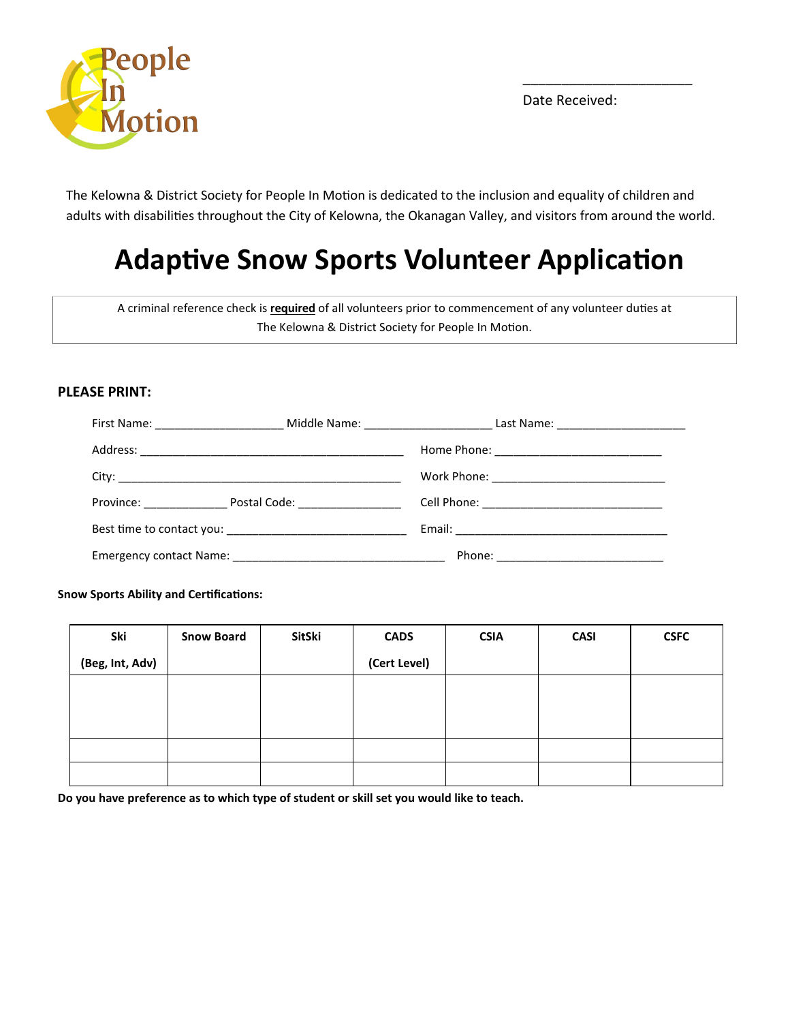

Date Received:

 $\overline{\phantom{a}}$  , where  $\overline{\phantom{a}}$  , where  $\overline{\phantom{a}}$  , where  $\overline{\phantom{a}}$  ,  $\overline{\phantom{a}}$  ,  $\overline{\phantom{a}}$  ,  $\overline{\phantom{a}}$  ,  $\overline{\phantom{a}}$  ,  $\overline{\phantom{a}}$  ,  $\overline{\phantom{a}}$  ,  $\overline{\phantom{a}}$  ,  $\overline{\phantom{a}}$  ,  $\overline{\phantom{a}}$  ,  $\overline{\phantom{a}}$  ,  $\overline{\phantom$ 

The Kelowna & District Society for People In Motion is dedicated to the inclusion and equality of children and adults with disabilities throughout the City of Kelowna, the Okanagan Valley, and visitors from around the world.

# Adaptive Snow Sports Volunteer Application

A criminal reference check is **required** of all volunteers prior to commencement of any volunteer duties at The Kelowna & District Society for People In Motion.

### PLEASE PRINT:

|                                     | Work Phone: ________________________________ |  |
|-------------------------------------|----------------------------------------------|--|
| Province: Postal Code: Postal Code: |                                              |  |
|                                     |                                              |  |
|                                     |                                              |  |

Snow Sports Ability and Certifications:

| Ski             | <b>Snow Board</b> | SitSki | <b>CADS</b>  | <b>CSIA</b> | <b>CASI</b> | <b>CSFC</b> |
|-----------------|-------------------|--------|--------------|-------------|-------------|-------------|
| (Beg, Int, Adv) |                   |        | (Cert Level) |             |             |             |
|                 |                   |        |              |             |             |             |
|                 |                   |        |              |             |             |             |
|                 |                   |        |              |             |             |             |
|                 |                   |        |              |             |             |             |
|                 |                   |        |              |             |             |             |

Do you have preference as to which type of student or skill set you would like to teach.